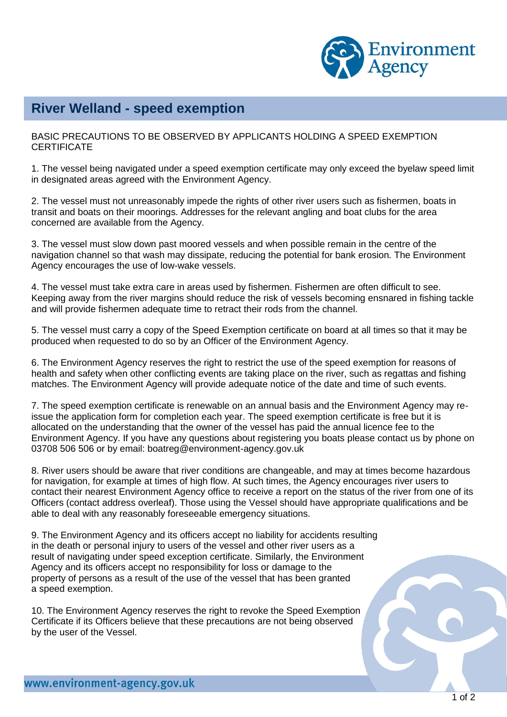

## **River Welland - speed exemption**

BASIC PRECAUTIONS TO BE OBSERVED BY APPLICANTS HOLDING A SPEED EXEMPTION **CERTIFICATE** 

1. The vessel being navigated under a speed exemption certificate may only exceed the byelaw speed limit in designated areas agreed with the Environment Agency.

2. The vessel must not unreasonably impede the rights of other river users such as fishermen, boats in transit and boats on their moorings. Addresses for the relevant angling and boat clubs for the area concerned are available from the Agency.

3. The vessel must slow down past moored vessels and when possible remain in the centre of the navigation channel so that wash may dissipate, reducing the potential for bank erosion. The Environment Agency encourages the use of low-wake vessels.

4. The vessel must take extra care in areas used by fishermen. Fishermen are often difficult to see. Keeping away from the river margins should reduce the risk of vessels becoming ensnared in fishing tackle and will provide fishermen adequate time to retract their rods from the channel.

5. The vessel must carry a copy of the Speed Exemption certificate on board at all times so that it may be produced when requested to do so by an Officer of the Environment Agency.

6. The Environment Agency reserves the right to restrict the use of the speed exemption for reasons of health and safety when other conflicting events are taking place on the river, such as regattas and fishing matches. The Environment Agency will provide adequate notice of the date and time of such events.

7. The speed exemption certificate is renewable on an annual basis and the Environment Agency may reissue the application form for completion each year. The speed exemption certificate is free but it is allocated on the understanding that the owner of the vessel has paid the annual licence fee to the Environment Agency. If you have any questions about registering you boats please contact us by phone on 03708 506 506 or by email: boatreg@environment-agency.gov.uk

8. River users should be aware that river conditions are changeable, and may at times become hazardous for navigation, for example at times of high flow. At such times, the Agency encourages river users to contact their nearest Environment Agency office to receive a report on the status of the river from one of its Officers (contact address overleaf). Those using the Vessel should have appropriate qualifications and be able to deal with any reasonably foreseeable emergency situations.

9. The Environment Agency and its officers accept no liability for accidents resulting in the death or personal injury to users of the vessel and other river users as a result of navigating under speed exception certificate. Similarly, the Environment Agency and its officers accept no responsibility for loss or damage to the property of persons as a result of the use of the vessel that has been granted a speed exemption.

10. The Environment Agency reserves the right to revoke the Speed Exemption Certificate if its Officers believe that these precautions are not being observed by the user of the Vessel.